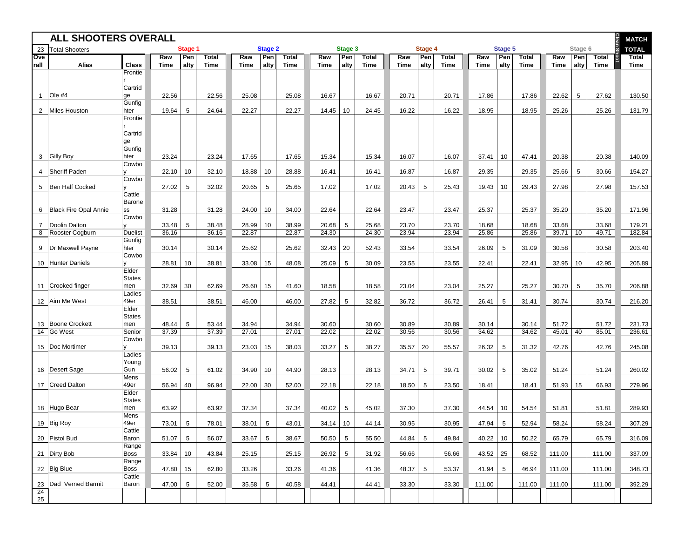| <b>ALL SHOOTERS OVERALL</b> |                         |                        |             |                 |                             |                |                 |                      |             |                 |                      |             |             | <b>MATCH</b>         |             |                 |                             |             |             |                      |                      |
|-----------------------------|-------------------------|------------------------|-------------|-----------------|-----------------------------|----------------|-----------------|----------------------|-------------|-----------------|----------------------|-------------|-------------|----------------------|-------------|-----------------|-----------------------------|-------------|-------------|----------------------|----------------------|
| 23                          | <b>Total Shooters</b>   |                        | Stage 1     |                 |                             | <b>Stage 2</b> |                 | Stage 3              |             |                 |                      | Stage 4     |             |                      | Stage 5     |                 |                             | Stage 6     |             | <b>TOTAL</b>         |                      |
| Ove<br>rall                 | <b>Alias</b>            | <b>Class</b>           | Raw<br>Time | Pen<br>alty     | <b>Total</b><br><b>Time</b> | Raw<br>Time    | Pen<br>alty     | <b>Total</b><br>Time | Raw<br>Time | Pen<br>alty     | <b>Total</b><br>Time | Raw<br>Time | Pen<br>alty | <b>Total</b><br>Time | Raw<br>Time | Pen<br>alty     | <b>Total</b><br><b>Time</b> | Raw<br>Time | Pen<br>alty | <b>Total</b><br>Time | <b>Total</b><br>Time |
|                             |                         | Frontie                |             |                 |                             |                |                 |                      |             |                 |                      |             |             |                      |             |                 |                             |             |             |                      |                      |
|                             |                         |                        |             |                 |                             |                |                 |                      |             |                 |                      |             |             |                      |             |                 |                             |             |             |                      |                      |
| $\mathbf{1}$                | $Ole$ #4                | Cartrid<br>ge          | 22.56       |                 | 22.56                       | 25.08          |                 | 25.08                | 16.67       |                 | 16.67                | 20.71       |             | 20.71                | 17.86       |                 | 17.86                       | 22.62       | 5           | 27.62                | 130.50               |
|                             |                         | Gunfig                 |             |                 |                             |                |                 |                      |             |                 |                      |             |             |                      |             |                 |                             |             |             |                      |                      |
|                             | 2 Miles Houston         | hter<br>Frontie        | 19.64       | 5               | 24.64                       | 22.27          |                 | 22.27                | 14.45       | 10              | 24.45                | 16.22       |             | 16.22                | 18.95       |                 | 18.95                       | 25.26       |             | 25.26                | 131.79               |
|                             |                         |                        |             |                 |                             |                |                 |                      |             |                 |                      |             |             |                      |             |                 |                             |             |             |                      |                      |
|                             |                         | Cartrid                |             |                 |                             |                |                 |                      |             |                 |                      |             |             |                      |             |                 |                             |             |             |                      |                      |
|                             |                         | ge<br>Gunfig           |             |                 |                             |                |                 |                      |             |                 |                      |             |             |                      |             |                 |                             |             |             |                      |                      |
|                             | 3 Gilly Boy             | hter                   | 23.24       |                 | 23.24                       | 17.65          |                 | 17.65                | 15.34       |                 | 15.34                | 16.07       |             | 16.07                | 37.41       | 10              | 47.41                       | 20.38       |             | 20.38                | 140.09               |
|                             | 4   Sheriff Paden       | Cowbo                  | 22.10       | 10              | 32.10                       | 18.88          | 10              | 28.88                | 16.41       |                 | 16.41                | 16.87       |             | 16.87                | 29.35       |                 | 29.35                       | 25.66       | 5           | 30.66                | 154.27               |
|                             |                         | Cowbo                  |             |                 |                             |                |                 |                      |             |                 |                      |             |             |                      |             |                 |                             |             |             |                      |                      |
|                             | 5   Ben Half Cocked     |                        | 27.02       | 5               | 32.02                       | 20.65          | 5               | 25.65                | 17.02       |                 | 17.02                | 20.43       | 5           | 25.43                | 19.43       | 10              | 29.43                       | 27.98       |             | 27.98                | 157.53               |
|                             |                         | Cattle<br>Barone       |             |                 |                             |                |                 |                      |             |                 |                      |             |             |                      |             |                 |                             |             |             |                      |                      |
|                             | 6 Black Fire Opal Annie | SS                     | 31.28       |                 | 31.28                       | 24.00          | 10              | 34.00                | 22.64       |                 | 22.64                | 23.47       |             | 23.47                | 25.37       |                 | 25.37                       | 35.20       |             | 35.20                | 171.96               |
| $\overline{7}$              | Doolin Dalton           | Cowbo                  | 33.48       | 5               | 38.48                       | 28.99          | 10              | 38.99                | 20.68       | 5               | 25.68                | 23.70       |             | 23.70                | 18.68       |                 | 18.68                       | 33.68       |             | 33.68                | 179.21               |
|                             | 8 Rooster Cogburn       | <b>Duelist</b>         | 36.16       |                 | 36.16                       | 22.87          |                 | 22.87                | 24.30       |                 | 24.30                | 23.94       |             | 23.94                | 25.86       |                 | 25.86                       | 39.71       | 10          | 49.71                | 182.84               |
| 9                           | Dr Maxwell Payne        | Gunfig<br>hter         | 30.14       |                 | 30.14                       | 25.62          |                 | 25.62                | 32.43       | 20              | 52.43                | 33.54       |             | 33.54                | 26.09       | 5               | 31.09                       | 30.58       |             | 30.58                | 203.40               |
|                             |                         | Cowbo                  |             |                 |                             |                |                 |                      |             |                 |                      |             |             |                      |             |                 |                             |             |             |                      |                      |
|                             | 10 Hunter Daniels       | $\mathsf{v}$           | 28.81       | 10              | 38.81                       | 33.08          | 15              | 48.08                | 25.09       | 5               | 30.09                | 23.55       |             | 23.55                | 22.41       |                 | 22.41                       | 32.95       | 10          | 42.95                | 205.89               |
|                             |                         | Elder<br><b>States</b> |             |                 |                             |                |                 |                      |             |                 |                      |             |             |                      |             |                 |                             |             |             |                      |                      |
|                             | 11 Crooked finger       | men                    | 32.69       | 30              | 62.69                       | 26.60          | 15              | 41.60                | 18.58       |                 | 18.58                | 23.04       |             | 23.04                | 25.27       |                 | 25.27                       | 30.70       | 5           | 35.70                | 206.88               |
|                             | 12 Aim Me West          | Ladies<br>49er         | 38.51       |                 | 38.51                       | 46.00          |                 | 46.00                | 27.82       | 5               | 32.82                | 36.72       |             | 36.72                | 26.41       | 5               | 31.41                       | 30.74       |             | 30.74                | 216.20               |
|                             |                         | Elder                  |             |                 |                             |                |                 |                      |             |                 |                      |             |             |                      |             |                 |                             |             |             |                      |                      |
|                             | 13 Boone Crockett       | <b>States</b><br>men   | 48.44       | 5               | 53.44                       | 34.94          |                 | 34.94                | 30.60       |                 | 30.60                | 30.89       |             | 30.89                | 30.14       |                 | 30.14                       | 51.72       |             | 51.72                | 231.73               |
|                             | 14 Go West              | Senior                 | 37.39       |                 | 37.39                       | 27.01          |                 | 27.01                | 22.02       |                 | 22.02                | 30.56       |             | 30.56                | 34.62       |                 | 34.62                       | 45.01       | 40          | 85.01                | 236.61               |
|                             |                         | Cowbo                  |             |                 |                             |                |                 |                      |             |                 |                      |             |             |                      |             |                 |                             |             |             |                      |                      |
|                             | 15   Doc Mortimer       | Ladies                 | 39.13       |                 | 39.13                       | 23.03          | 15              | 38.03                | 33.27       | 5               | 38.27                | 35.57       | 20          | 55.57                | 26.32       | 5               | 31.32                       | 42.76       |             | 42.76                | 245.08               |
|                             |                         | Young                  |             |                 |                             |                |                 |                      |             |                 |                      |             |             |                      |             |                 |                             |             |             |                      |                      |
|                             | 16 Desert Sage          | Gun<br>Mens            | 56.02       | $\sqrt{5}$      | 61.02                       | 34.90          | 10              | 44.90                | 28.13       |                 | 28.13                | 34.71       | 5           | 39.71                | 30.02       | 5               | 35.02                       | 51.24       |             | 51.24                | 260.02               |
|                             | 17 Creed Dalton         | 49er                   | 56.94       | 40              | 96.94                       | 22.00          | 30              | 52.00                | 22.18       |                 | 22.18                | 18.50       | 5           | 23.50                | 18.41       |                 | 18.41                       | 51.93       | 15          | 66.93                | 279.96               |
|                             |                         | Elder<br><b>States</b> |             |                 |                             |                |                 |                      |             |                 |                      |             |             |                      |             |                 |                             |             |             |                      |                      |
|                             | 18 Hugo Bear            | men                    | 63.92       |                 | 63.92                       | 37.34          |                 | 37.34                | 40.02       | 5               | 45.02                | 37.30       |             | 37.30                | 44.54       | 10              | 54.54                       | 51.81       |             | 51.81                | 289.93               |
|                             |                         | Mens<br>49er           |             |                 |                             |                |                 |                      |             |                 |                      |             |             |                      |             |                 |                             |             |             |                      |                      |
|                             | 19 Big Roy              | Cattle                 | 73.01       | 5               | 78.01                       | 38.01          | 5               | 43.01                | 34.14       | 10              | 44.14                | 30.95       |             | 30.95                | 47.94       | 5               | 52.94                       | 58.24       |             | 58.24                | 307.29               |
|                             | 20 Pistol Bud           | Baron                  | 51.07       | $5\phantom{.0}$ | 56.07                       | 33.67          | $5\phantom{.0}$ | 38.67                | 50.50       | $5\phantom{.0}$ | 55.50                | 44.84       | 5           | 49.84                | 40.22       | 10              | 50.22                       | 65.79       |             | 65.79                | 316.09               |
|                             | 21 Dirty Bob            | Range<br>Boss          | 33.84       | 10              | 43.84                       | 25.15          |                 | 25.15                | 26.92       | $5\phantom{.0}$ | 31.92                | 56.66       |             | 56.66                | 43.52       | 25              | 68.52                       | 111.00      |             | 111.00               | 337.09               |
|                             |                         | Range                  |             |                 |                             |                |                 |                      |             |                 |                      |             |             |                      |             |                 |                             |             |             |                      |                      |
|                             | 22 Big Blue             | Boss<br>Cattle         | 47.80       | 15              | 62.80                       | 33.26          |                 | 33.26                | 41.36       |                 | 41.36                | 48.37       | 5           | 53.37                | 41.94       | $5\phantom{.0}$ | 46.94                       | 111.00      |             | 111.00               | 348.73               |
|                             | 23   Dad Verned Barmit  | Baron                  | 47.00       | $5\phantom{.0}$ | 52.00                       | 35.58          | $5\phantom{.0}$ | 40.58                | 44.41       |                 | 44.41                | 33.30       |             | 33.30                | 111.00      |                 | 111.00                      | 111.00      |             | 111.00               | 392.29               |
| 24<br>25                    |                         |                        |             |                 |                             |                |                 |                      |             |                 |                      |             |             |                      |             |                 |                             |             |             |                      |                      |
|                             |                         |                        |             |                 |                             |                |                 |                      |             |                 |                      |             |             |                      |             |                 |                             |             |             |                      |                      |